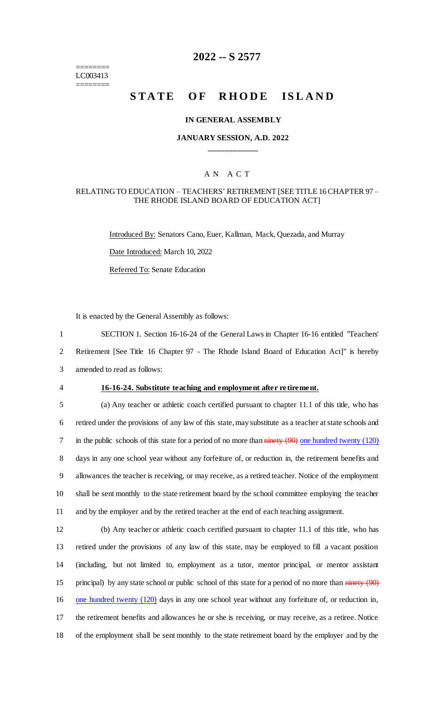======== LC003413 ========

# **2022 -- S 2577**

# **STATE OF RHODE ISLAND**

#### **IN GENERAL ASSEMBLY**

# **JANUARY SESSION, A.D. 2022 \_\_\_\_\_\_\_\_\_\_\_\_**

# A N A C T

### RELATING TO EDUCATION – TEACHERS' RETIREMENT [SEE TITLE 16 CHAPTER 97 – THE RHODE ISLAND BOARD OF EDUCATION ACT]

Introduced By: Senators Cano, Euer, Kallman, Mack, Quezada, and Murray Date Introduced: March 10, 2022 Referred To: Senate Education

It is enacted by the General Assembly as follows:

1 SECTION 1. Section 16-16-24 of the General Laws in Chapter 16-16 entitled "Teachers'

2 Retirement [See Title 16 Chapter 97 - The Rhode Island Board of Education Act]" is hereby

3 amended to read as follows:

#### 4 **16-16-24. Substitute teaching and employment after re tirement.**

 (a) Any teacher or athletic coach certified pursuant to chapter 11.1 of this title, who has retired under the provisions of any law of this state, may substitute as a teacher at state schools and 7 in the public schools of this state for a period of no more than ninety (90) one hundred twenty (120) days in any one school year without any forfeiture of, or reduction in, the retirement benefits and allowances the teacher is receiving, or may receive, as a retired teacher. Notice of the employment shall be sent monthly to the state retirement board by the school committee employing the teacher and by the employer and by the retired teacher at the end of each teaching assignment.

 (b) Any teacher or athletic coach certified pursuant to chapter 11.1 of this title, who has retired under the provisions of any law of this state, may be employed to fill a vacant position (including, but not limited to, employment as a tutor, mentor principal, or mentor assistant 15 principal) by any state school or public school of this state for a period of no more than ninety (90) 16 one hundred twenty (120) days in any one school year without any forfeiture of, or reduction in, the retirement benefits and allowances he or she is receiving, or may receive, as a retiree. Notice of the employment shall be sent monthly to the state retirement board by the employer and by the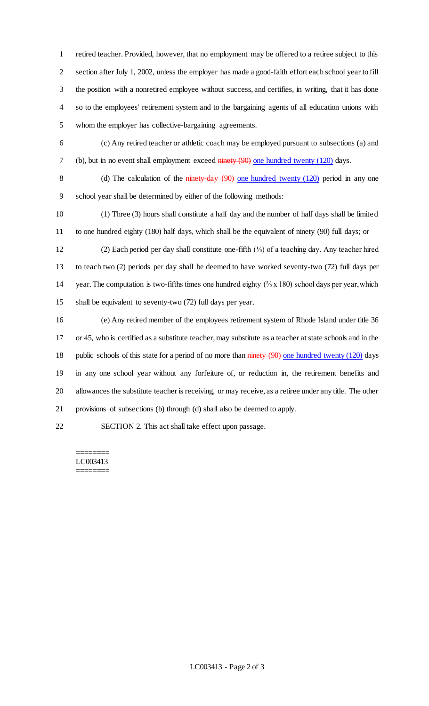retired teacher. Provided, however, that no employment may be offered to a retiree subject to this section after July 1, 2002, unless the employer has made a good-faith effort each school year to fill the position with a nonretired employee without success, and certifies, in writing, that it has done so to the employees' retirement system and to the bargaining agents of all education unions with whom the employer has collective-bargaining agreements.

 (c) Any retired teacher or athletic coach may be employed pursuant to subsections (a) and 7 (b), but in no event shall employment exceed ninety (90) one hundred twenty (120) days.

8 (d) The calculation of the ninety-day (90) one hundred twenty (120) period in any one school year shall be determined by either of the following methods:

 (1) Three (3) hours shall constitute a half day and the number of half days shall be limited to one hundred eighty (180) half days, which shall be the equivalent of ninety (90) full days; or

 (2) Each period per day shall constitute one-fifth (⅕) of a teaching day. Any teacher hired to teach two (2) periods per day shall be deemed to have worked seventy-two (72) full days per 14 year. The computation is two-fifths times one hundred eighty  $(\frac{2}{5} \times 180)$  school days per year, which shall be equivalent to seventy-two (72) full days per year.

 (e) Any retired member of the employees retirement system of Rhode Island under title 36 or 45, who is certified as a substitute teacher, may substitute as a teacher at state schools and in the 18 public schools of this state for a period of no more than  $\frac{1}{\text{minety}}(90)$  one hundred twenty (120) days in any one school year without any forfeiture of, or reduction in, the retirement benefits and allowances the substitute teacher is receiving, or may receive, as a retiree under any title. The other provisions of subsections (b) through (d) shall also be deemed to apply.

SECTION 2. This act shall take effect upon passage.

#### ======== LC003413 ========

LC003413 - Page 2 of 3